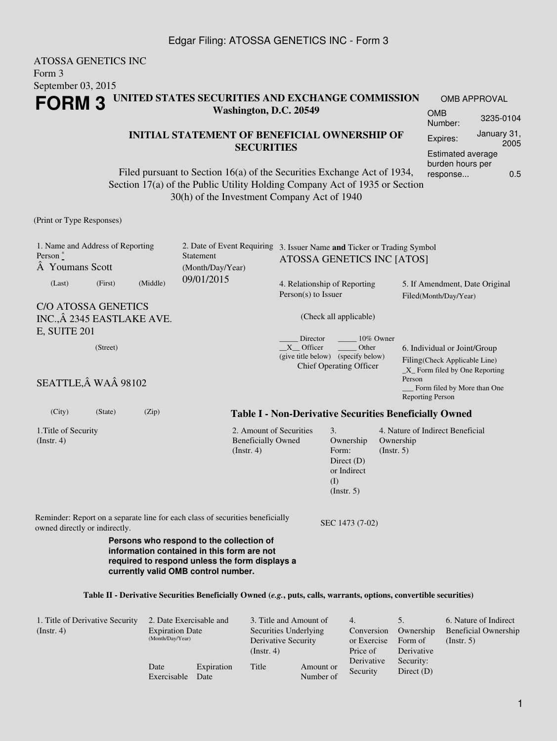1

## ATOSSA GENETICS INC Form 3 September 03, 2015 **FORM 3 UNITED STATES SECURITIES AND EXCHANGE COMMISSION Washington, D.C. 20549**

## **INITIAL STATEMENT OF BENEFICIAL OWNERSHIP OF SECURITIES**

Filed pursuant to Section 16(a) of the Securities Exchange Act of 1934, Section 17(a) of the Public Utility Holding Company Act of 1935 or Section 30(h) of the Investment Company Act of 1940

(Print or Type Responses)

| 1. Name and Address of Reporting<br>Person $\degree$<br>A Youmans Scott |          |          | Statement<br>(Month/Day/Year)                                                                                                                                                   | 2. Date of Event Requiring 3. Issuer Name and Ticker or Trading Symbol<br>ATOSSA GENETICS INC [ATOS] |                                                                               |                          |                                                                                                                                                                      |  |
|-------------------------------------------------------------------------|----------|----------|---------------------------------------------------------------------------------------------------------------------------------------------------------------------------------|------------------------------------------------------------------------------------------------------|-------------------------------------------------------------------------------|--------------------------|----------------------------------------------------------------------------------------------------------------------------------------------------------------------|--|
| (Last)                                                                  | (First)  | (Middle) | 09/01/2015<br>4. Relationship of Reporting<br>$Person(s)$ to Issuer                                                                                                             |                                                                                                      |                                                                               |                          | 5. If Amendment, Date Original<br>Filed(Month/Day/Year)                                                                                                              |  |
| <b>C/O ATOSSA GENETICS</b><br>INC., Â 2345 EASTLAKE AVE.                |          |          |                                                                                                                                                                                 |                                                                                                      | (Check all applicable)                                                        |                          |                                                                                                                                                                      |  |
| <b>E, SUITE 201</b><br>SEATTLE, Â WAÂ 98102                             | (Street) |          |                                                                                                                                                                                 | Director<br>X Officer<br>(give title below) (specify below)                                          | Other<br><b>Chief Operating Officer</b>                                       | 10% Owner                | 6. Individual or Joint/Group<br>Filing(Check Applicable Line)<br>$X$ Form filed by One Reporting<br>Person<br>Form filed by More than One<br><b>Reporting Person</b> |  |
| (City)                                                                  | (State)  | (Zip)    |                                                                                                                                                                                 |                                                                                                      |                                                                               |                          | <b>Table I - Non-Derivative Securities Beneficially Owned</b>                                                                                                        |  |
| 1. Title of Security<br>$($ Instr. 4 $)$                                |          |          | 2. Amount of Securities<br><b>Beneficially Owned</b><br>(Insert. 4)                                                                                                             |                                                                                                      | 3.<br>Ownership<br>Form:<br>Direct $(D)$<br>or Indirect<br>(I)<br>(Insert. 5) | Ownership<br>(Insert. 5) | 4. Nature of Indirect Beneficial                                                                                                                                     |  |
| owned directly or indirectly.                                           |          |          | Reminder: Report on a separate line for each class of securities beneficially                                                                                                   |                                                                                                      | SEC 1473 (7-02)                                                               |                          |                                                                                                                                                                      |  |
|                                                                         |          |          | Persons who respond to the collection of<br>information contained in this form are not<br>required to respond unless the form displays a<br>currently valid OMB control number. |                                                                                                      |                                                                               |                          |                                                                                                                                                                      |  |
|                                                                         |          |          | Table II - Derivative Securities Beneficially Owned (e.g., puts, calls, warrants, options, convertible securities)                                                              |                                                                                                      |                                                                               |                          |                                                                                                                                                                      |  |

| 1. Title of Derivative Security | 2. Date Exercisable and |                    | 3. Title and Amount of |                        | $\overline{4}$ .       |                           | 6. Nature of Indirect       |
|---------------------------------|-------------------------|--------------------|------------------------|------------------------|------------------------|---------------------------|-----------------------------|
| $($ Instr. 4 $)$                | <b>Expiration Date</b>  |                    | Securities Underlying  |                        | Conversion             | Ownership                 | <b>Beneficial Ownership</b> |
|                                 | (Month/Day/Year)        |                    | Derivative Security    |                        | or Exercise            | Form of                   | $($ Instr. 5 $)$            |
|                                 |                         |                    | (Insert, 4)            |                        | Price of               | Derivative                |                             |
|                                 | Date<br>Exercisable     | Expiration<br>Date | Title                  | Amount or<br>Number of | Derivative<br>Security | Security:<br>Direct $(D)$ |                             |

OMB APPROVAL

OMB Number: 3235-0104 Expires: January 31, 2005 Estimated average burden hours per response... 0.5